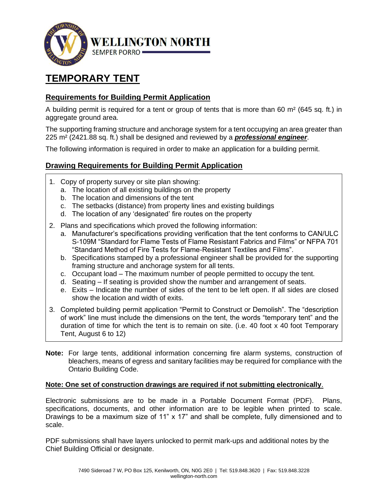

# **TEMPORARY TENT**

# **Requirements for Building Permit Application**

A building permit is required for a tent or group of tents that is more than 60 m² (645 sq. ft.) in aggregate ground area.

The supporting framing structure and anchorage system for a tent occupying an area greater than 225 m² (2421.88 sq. ft.) shall be designed and reviewed by a *professional engineer*.

The following information is required in order to make an application for a building permit.

# **Drawing Requirements for Building Permit Application**

- 1. Copy of property survey or site plan showing:
	- a. The location of all existing buildings on the property
	- b. The location and dimensions of the tent
	- c. The setbacks (distance) from property lines and existing buildings
	- d. The location of any 'designated' fire routes on the property
- 2. Plans and specifications which proved the following information:
	- a. Manufacturer's specifications providing verification that the tent conforms to CAN/ULC S-109M "Standard for Flame Tests of Flame Resistant Fabrics and Films" or NFPA 701 "Standard Method of Fire Tests for Flame-Resistant Textiles and Films".
	- b. Specifications stamped by a professional engineer shall be provided for the supporting framing structure and anchorage system for all tents.
	- c. Occupant load The maximum number of people permitted to occupy the tent.
	- d. Seating If seating is provided show the number and arrangement of seats.
	- e. Exits Indicate the number of sides of the tent to be left open. If all sides are closed show the location and width of exits.
- 3. Completed building permit application "Permit to Construct or Demolish". The "description of work" line must include the dimensions on the tent, the words "temporary tent" and the duration of time for which the tent is to remain on site. (i.e. 40 foot x 40 foot Temporary Tent, August 6 to 12)
- **Note:** For large tents, additional information concerning fire alarm systems, construction of bleachers, means of egress and sanitary facilities may be required for compliance with the Ontario Building Code.

# **Note: One set of construction drawings are required if not submitting electronically**.

Electronic submissions are to be made in a Portable Document Format (PDF). Plans, specifications, documents, and other information are to be legible when printed to scale. Drawings to be a maximum size of 11"  $\times$  17" and shall be complete, fully dimensioned and to scale.

PDF submissions shall have layers unlocked to permit mark-ups and additional notes by the Chief Building Official or designate.